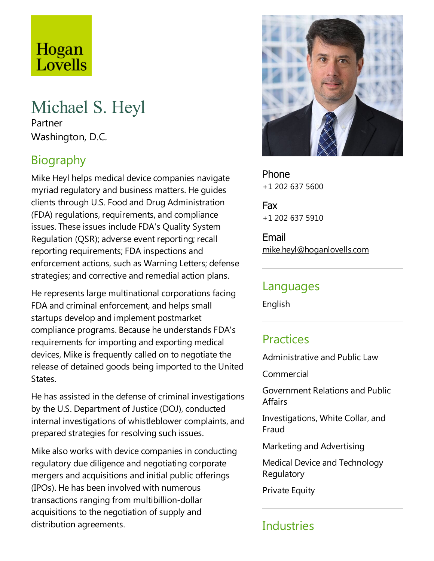# Hogan Lovells

## Michael S. Heyl

Partner Washington, D.C.

## Biography

Mike Heyl helps medical device companies navigate myriad regulatory and business matters. He guides clients through U.S.Food and Drug Administration (FDA) regulations, requirements,and compliance issues. These issues include FDA's Quality System Regulation (QSR); adverse event reporting; recall reporting requirements; FDA inspections and enforcement actions, such as Warning Letters; defense strategies; and corrective and remedial action plans.

He represents large multinational corporations facing FDA and criminal enforcement, and helps small startups develop and implement postmarket compliance programs. Because he understands FDA's requirements for importing and exporting medical devices, Mike is frequently called on to negotiate the release of detained goods being imported to the United States.

He has assisted in the defense of criminal investigations by the U.S. Department of Justice (DOJ), conducted internal investigations of whistleblower complaints, and prepared strategies for resolving such issues.

Mike also works with device companies in conducting regulatory due diligence and negotiating corporate mergers and acquisitions and initial public offerings (IPOs). He has been involved with numerous transactions ranging from multibillion-dollar acquisitions to the negotiation of supply and distribution agreements.



Phone +1 202 637 5600

Fax +1 202 637 5910

Email mike.heyl@hoganlovells.com

#### Languages

English

#### **Practices**

Administrative and Public Law

Commercial

Government Relations and Public **Affairs** 

Investigations, White Collar, and Fraud

Marketing and Advertising

Medical Device and Technology Regulatory

**Private Equity** 

## **Industries**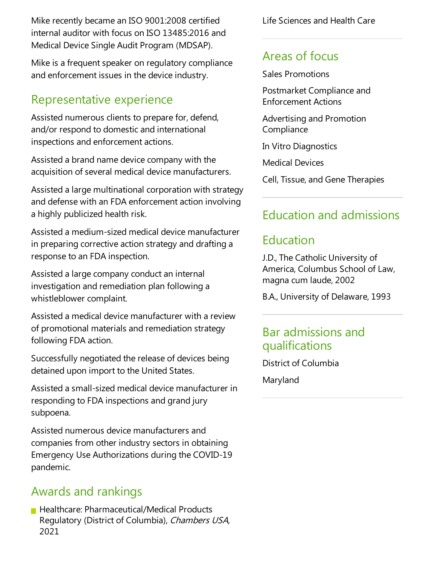Mike recently became an ISO 9001:2008 certified internal auditor with focus on ISO 13485:2016 and Medical Device Single Audit Program (MDSAP).

Mike is a frequent speaker on regulatory compliance and enforcement issues in the device industry.

#### Representative experience

Assisted numerous clients to prepare for, defend, and/or respond to domestic and international inspections and enforcement actions.

Assisted a brand name device company with the acquisition of several medical device manufacturers.

Assisted alarge multinational corporation with strategy and defense with an FDA enforcement action involving a highly publicized health risk.

Assisted a medium-sized medical device manufacturer in preparing corrective action strategy and drafting a response to an FDA inspection.

Assisted a large company conduct an internal investigation and remediation plan following a whistleblower complaint.

Assisted a medical device manufacturer with areview of promotional materials and remediation strategy following FDA action.

Successfully negotiated the release of devices being detained upon import to the United States.

Assisted asmall-sized medical device manufacturer in responding to FDA inspections and grand jury subpoena.

Assisted numerous device manufacturers and companies from other industry sectors in obtaining Emergency Use Authorizations during the COVID-19 pandemic.

## Awards and rankings

**Healthcare: Pharmaceutical/Medical Products** Regulatory (District of Columbia), Chambers USA, 2021

Life Sciences and Health Care

## Areas of focus

Sales Promotions

Postmarket Compliance and Enforcement Actions

Advertising and Promotion **Compliance** 

In Vitro Diagnostics

Medical Devices

Cell, Tissue, and Gene Therapies

## Education and admissions

## Education

J.D.,The Catholic University of America, Columbus School of Law, magna cum laude, 2002

B.A., University of Delaware, 1993

#### Bar admissions and qualifications

District of Columbia

Maryland